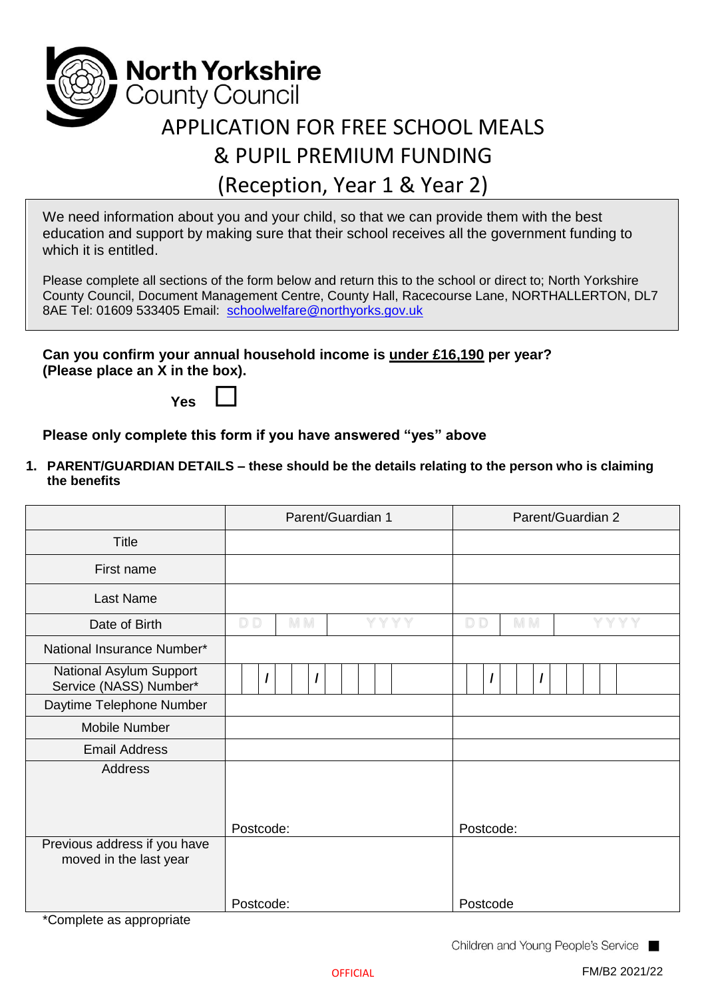

# (Reception, Year 1 & Year 2)

We need information about you and your child, so that we can provide them with the best education and support by making sure that their school receives all the government funding to which it is entitled.

Please complete all sections of the form below and return this to the school or direct to; North Yorkshire County Council, Document Management Centre, County Hall, Racecourse Lane, NORTHALLERTON, DL7 8AE Tel: 01609 533405 Email: [schoolwelfare@northyorks.gov.uk](mailto:schoolwelfare@northyorks.gov.uk)

**Can you confirm your annual household income is under £16,190 per year? (Please place an X in the box).**

**Yes**

**Please only complete this form if you have answered "yes" above**

**1. PARENT/GUARDIAN DETAILS – these should be the details relating to the person who is claiming the benefits**

|                                                        | Parent/Guardian 1             | Parent/Guardian 2              |  |
|--------------------------------------------------------|-------------------------------|--------------------------------|--|
| <b>Title</b>                                           |                               |                                |  |
| First name                                             |                               |                                |  |
| Last Name                                              |                               |                                |  |
| Date of Birth                                          | YYYY<br>D <sub>D</sub><br>M M | D <sub>D</sub><br>Y Y Y<br>M M |  |
| National Insurance Number*                             |                               |                                |  |
| National Asylum Support<br>Service (NASS) Number*      | $\prime$                      | I                              |  |
| Daytime Telephone Number                               |                               |                                |  |
| Mobile Number                                          |                               |                                |  |
| <b>Email Address</b>                                   |                               |                                |  |
| <b>Address</b>                                         |                               |                                |  |
|                                                        | Postcode:                     | Postcode:                      |  |
| Previous address if you have<br>moved in the last year |                               |                                |  |
| $\sim$ $\sim$ $\sim$ $\sim$<br>$\cdot$ $\cdot$         | Postcode:                     | Postcode                       |  |

\*Complete as appropriate

Children and Young People's Service